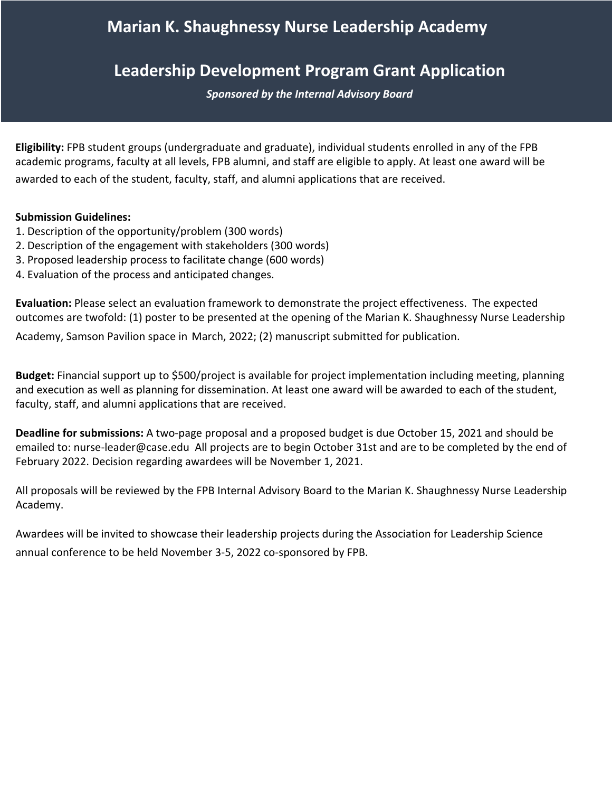## **Marian K. Shaughnessy Nurse Leadership Academy**

### **Leadership Development Program Grant Application**

*Sponsored by the Internal Advisory Board*

**Eligibility:** FPB student groups (undergraduate and graduate), individual students enrolled in any of the FPB academic programs, faculty at all levels, FPB alumni, and staff are eligible to apply. At least one award will be awarded to each of the student, faculty, staff, and alumni applications that are received.

#### **Submission Guidelines:**

- 1. Description of the opportunity/problem (300 words)
- 2. Description of the engagement with stakeholders (300 words)
- 3. Proposed leadership process to facilitate change (600 words)
- 4. Evaluation of the process and anticipated changes.

**Evaluation:** Please select an evaluation framework to demonstrate the project effectiveness. The expected outcomes are twofold: (1) poster to be presented at the opening of the Marian K. Shaughnessy Nurse Leadership

Academy, Samson Pavilion space in March, 2022; (2) manuscript submitted for publication.

**Budget:** Financial support up to \$500/project is available for project implementation including meeting, planning and execution as well as planning for dissemination. At least one award will be awarded to each of the student, faculty, staff, and alumni applications that are received.

**Deadline for submissions:** A two-page proposal and a proposed budget is due October 15, 2021 and should be emailed to: nurse-leader@case.edu All projects are to begin October 31st and are to be completed by the end of February 2022. Decision regarding awardees will be November 1, 2021.

All proposals will be reviewed by the FPB Internal Advisory Board to the Marian K. Shaughnessy Nurse Leadership Academy.

Awardees will be invited to showcase their leadership projects during the Association for Leadership Science annual conference to be held November 3-5, 2022 co-sponsored by FPB.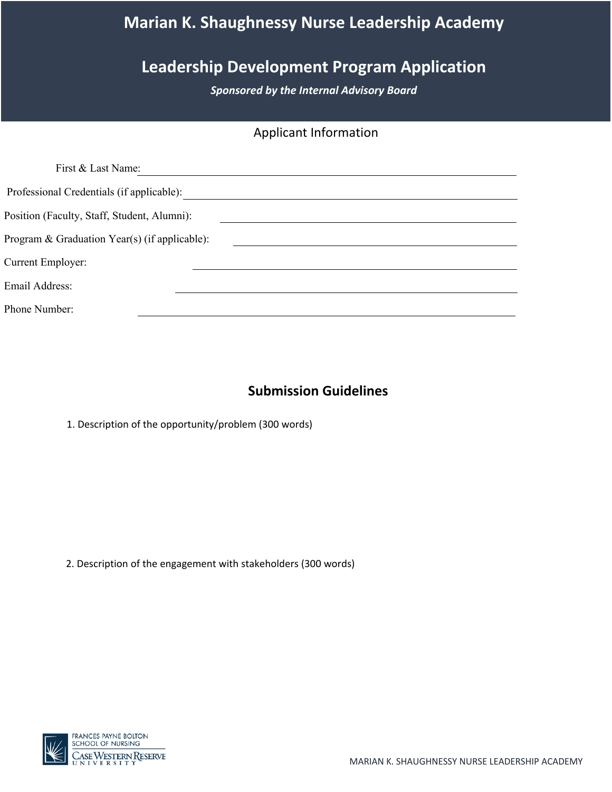# **Marian K. Shaughnessy Nurse Leadership Academy**

## **Leadership Development Program Application**

*Sponsored by the Internal Advisory Board*

#### Applicant Information

| First & Last Name:                            |  |
|-----------------------------------------------|--|
| Professional Credentials (if applicable):     |  |
| Position (Faculty, Staff, Student, Alumni):   |  |
| Program & Graduation Year(s) (if applicable): |  |
| Current Employer:                             |  |
| Email Address:                                |  |
| Phone Number:                                 |  |

#### **Submission Guidelines**

1. Description of the opportunity/problem (300 words)

2. Description of the engagement with stakeholders (300 words)